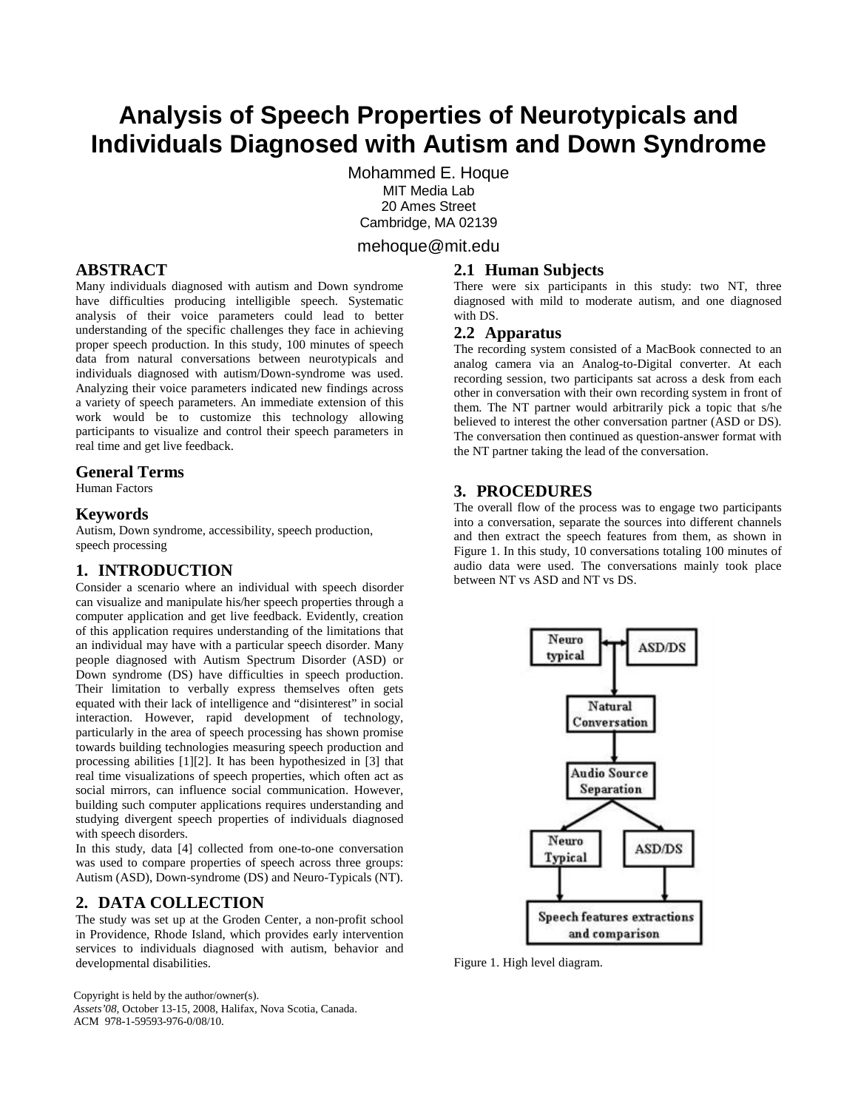# **Analysis of Speech Properties of Neurotypicals and Individuals Diagnosed with Autism and Down Syndrome**

Mohammed E. Hoque MIT Media Lab 20 Ames Street Cambridge, MA 02139

# mehoque@mit.edu

# **ABSTRACT**

Many individuals diagnosed with autism and Down syndrome have difficulties producing intelligible speech. Systematic analysis of their voice parameters could lead to better understanding of the specific challenges they face in achieving proper speech production. In this study, 100 minutes of speech data from natural conversations between neurotypicals and individuals diagnosed with autism/Down-syndrome was used. Analyzing their voice parameters indicated new findings across a variety of speech parameters. An immediate extension of this work would be to customize this technology allowing participants to visualize and control their speech parameters in real time and get live feedback.

## **General Terms**

Human Factors

#### **Keywords**

Autism, Down syndrome, accessibility, speech production, speech processing

# **1. INTRODUCTION**

Consider a scenario where an individual with speech disorder can visualize and manipulate his/her speech properties through a computer application and get live feedback. Evidently, creation of this application requires understanding of the limitations that an individual may have with a particular speech disorder. Many people diagnosed with Autism Spectrum Disorder (ASD) or Down syndrome (DS) have difficulties in speech production. Their limitation to verbally express themselves often gets equated with their lack of intelligence and "disinterest" in social interaction. However, rapid development of technology, particularly in the area of speech processing has shown promise towards building technologies measuring speech production and processing abilities [1][2]. It has been hypothesized in [3] that real time visualizations of speech properties, which often act as social mirrors, can influence social communication. However, building such computer applications requires understanding and studying divergent speech properties of individuals diagnosed with speech disorders.

In this study, data [4] collected from one-to-one conversation was used to compare properties of speech across three groups: Autism (ASD), Down-syndrome (DS) and Neuro-Typicals (NT).

# **2. DATA COLLECTION**

The study was set up at the Groden Center, a non-profit school in Providence, Rhode Island, which provides early intervention services to individuals diagnosed with autism, behavior and developmental disabilities.

Copyright is held by the author/owner(s). *Assets'08*, October 13-15, 2008, Halifax, Nova Scotia, Canada. ACM 978-1-59593-976-0/08/10.

#### **2.1 Human Subjects**

There were six participants in this study: two NT, three diagnosed with mild to moderate autism, and one diagnosed with DS.

#### **2.2 Apparatus**

The recording system consisted of a MacBook connected to an analog camera via an Analog-to-Digital converter. At each recording session, two participants sat across a desk from each other in conversation with their own recording system in front of them. The NT partner would arbitrarily pick a topic that s/he believed to interest the other conversation partner (ASD or DS). The conversation then continued as question-answer format with the NT partner taking the lead of the conversation.

## **3. PROCEDURES**

The overall flow of the process was to engage two participants into a conversation, separate the sources into different channels and then extract the speech features from them, as shown in Figure 1. In this study, 10 conversations totaling 100 minutes of audio data were used. The conversations mainly took place between NT vs ASD and NT vs DS.



Figure 1. High level diagram.